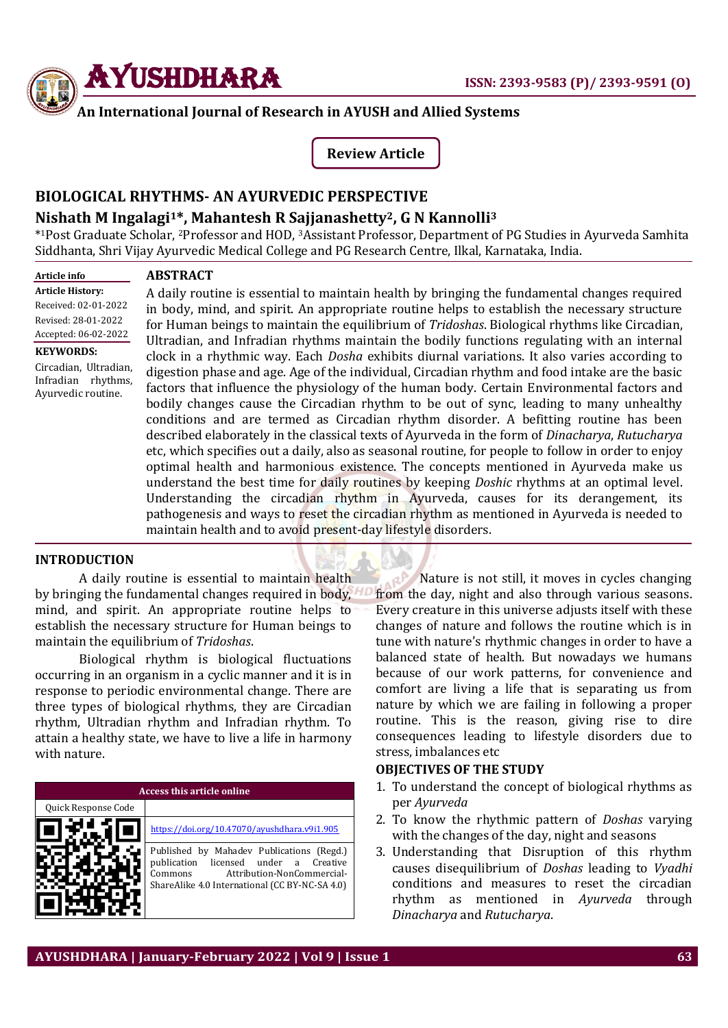

**ABSTRACT**

# **An International Journal of Research in AYUSH and Allied Systems**

**Review Article**

# **BIOLOGICAL RHYTHMS- AN AYURVEDIC PERSPECTIVE**

# **Nishath M Ingalagi1\*, Mahantesh R Sajjanashetty2, G N Kannolli<sup>3</sup>**

\* <sup>1</sup>Post Graduate Scholar, <sup>2</sup>Professor and HOD, 3Assistant Professor, Department of PG Studies in Ayurveda Samhita Siddhanta, Shri Vijay Ayurvedic Medical College and PG Research Centre, Ilkal, Karnataka, India.

#### **Article info Article History:** Received: 02-01-2022 Revised: 28-01-2022 Accepted: 06-02-2022 **KEYWORDS:**

Circadian, Ultradian, Infradian rhythms, Ayurvedic routine.

A daily routine is essential to maintain health by bringing the fundamental changes required in body, mind, and spirit. An appropriate routine helps to establish the necessary structure for Human beings to maintain the equilibrium of *Tridoshas*. Biological rhythms like Circadian, Ultradian, and Infradian rhythms maintain the bodily functions regulating with an internal clock in a rhythmic way. Each *Dosha* exhibits diurnal variations. It also varies according to digestion phase and age. Age of the individual, Circadian rhythm and food intake are the basic factors that influence the physiology of the human body. Certain Environmental factors and bodily changes cause the Circadian rhythm to be out of sync, leading to many unhealthy conditions and are termed as Circadian rhythm disorder. A befitting routine has been described elaborately in the classical texts of Ayurveda in the form of *Dinacharya*, *Rutucharya* etc, which specifies out a daily, also as seasonal routine, for people to follow in order to enjoy optimal health and harmonious existence. The concepts mentioned in Ayurveda make us understand the best time for daily routines by keeping *Doshic* rhythms at an optimal level. Understanding the circadian rhythm in Ayurveda, causes for its derangement, its pathogenesis and ways to reset the circadian rhythm as mentioned in Ayurveda is needed to maintain health and to avoid present-day lifestyle disorders.

### **INTRODUCTION**

A daily routine is essential to maintain health by bringing the fundamental changes required in body, mind, and spirit. An appropriate routine helps to establish the necessary structure for Human beings to maintain the equilibrium of *Tridoshas*.

Biological rhythm is biological fluctuations occurring in an organism in a cyclic manner and it is in response to periodic environmental change. There are three types of biological rhythms, they are Circadian rhythm, Ultradian rhythm and Infradian rhythm. To attain a healthy state, we have to live a life in harmony with nature.

**Access this article online** Quick Response Code <https://doi.org/10.47070/ayushdhara.v9i1.905> Published by Mahadev Publications (Regd.) publication licensed under a Creative Commons Attribution-NonCommercial-ShareAlike 4.0 International (CC BY-NC-SA 4.0)

Nature is not still, it moves in cycles changing from the day, night and also through various seasons. Every creature in this universe adjusts itself with these changes of nature and follows the routine which is in tune with nature's rhythmic changes in order to have a balanced state of health. But nowadays we humans because of our work patterns, for convenience and comfort are living a life that is separating us from nature by which we are failing in following a proper routine. This is the reason, giving rise to dire consequences leading to lifestyle disorders due to stress, imbalances etc

### **OBJECTIVES OF THE STUDY**

- 1. To understand the concept of biological rhythms as per *Ayurveda*
- 2. To know the rhythmic pattern of *Doshas* varying with the changes of the day, night and seasons
- 3. Understanding that Disruption of this rhythm causes disequilibrium of *Doshas* leading to *Vyadhi* conditions and measures to reset the circadian rhythm as mentioned in *Ayurveda* through *Dinacharya* and *Rutucharya*.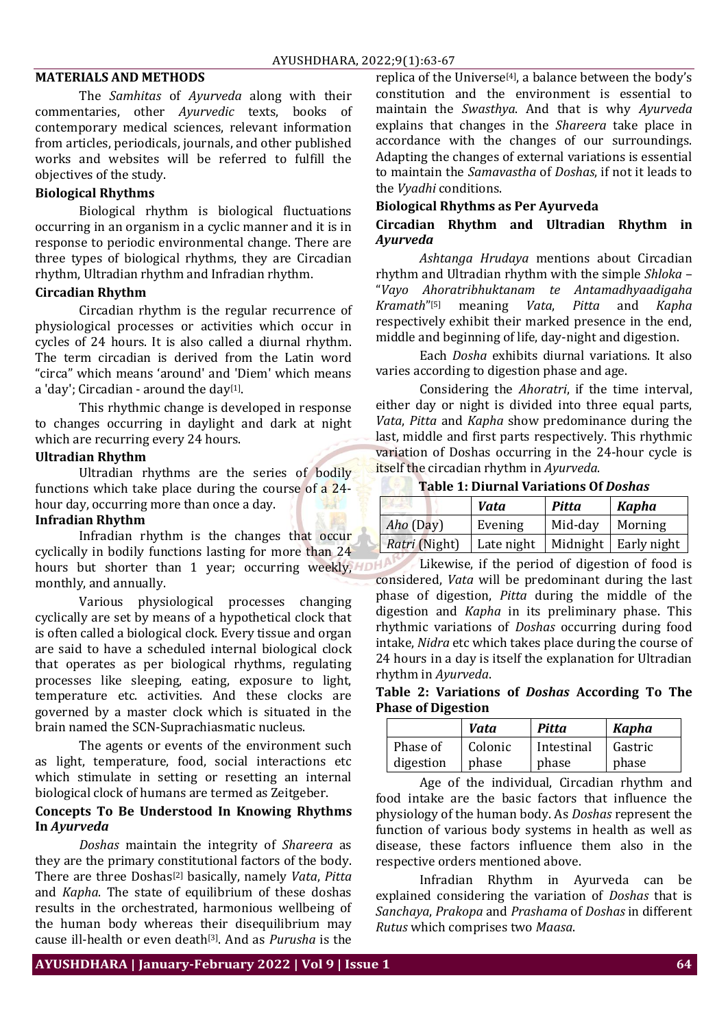### **MATERIALS AND METHODS**

The *Samhitas* of *Ayurveda* along with their commentaries, other *Ayurvedic* texts, books of contemporary medical sciences, relevant information from articles, periodicals, journals, and other published works and websites will be referred to fulfill the objectives of the study.

# **Biological Rhythms**

Biological rhythm is biological fluctuations occurring in an organism in a cyclic manner and it is in response to periodic environmental change. There are three types of biological rhythms, they are Circadian rhythm, Ultradian rhythm and Infradian rhythm.

### **Circadian Rhythm**

Circadian rhythm is the regular recurrence of physiological processes or activities which occur in cycles of 24 hours. It is also called a diurnal rhythm. The term circadian is derived from the Latin word "circa" which means 'around' and 'Diem' which means a 'day'; Circadian - around the day<sup>[1]</sup>.

This rhythmic change is developed in response to changes occurring in daylight and dark at night which are recurring every 24 hours.

# **Ultradian Rhythm**

Ultradian rhythms are the series of bodily functions which take place during the course of a 24 hour day, occurring more than once a day.

### **Infradian Rhythm**

Infradian rhythm is the changes that occur cyclically in bodily functions lasting for more than 24 hours but shorter than 1 year; occurring weekly, HDF monthly, and annually.

Various physiological processes changing cyclically are set by means of a hypothetical clock that is often called a biological clock. Every tissue and organ are said to have a scheduled internal biological clock that operates as per biological rhythms, regulating processes like sleeping, eating, exposure to light, temperature etc. activities. And these clocks are governed by a master clock which is situated in the brain named the SCN-Suprachiasmatic nucleus.

The agents or events of the environment such as light, temperature, food, social interactions etc which stimulate in setting or resetting an internal biological clock of humans are termed as Zeitgeber.

### **Concepts To Be Understood In Knowing Rhythms In** *Ayurveda*

*Doshas* maintain the integrity of *Shareera* as they are the primary constitutional factors of the body. There are three Doshas[2] basically, namely *Vata*, *Pitta* and *Kapha*. The state of equilibrium of these doshas results in the orchestrated, harmonious wellbeing of the human body whereas their disequilibrium may cause ill-health or even death[3] . And as *Purusha* is the

replica of the Universe<sup>[4]</sup>, a balance between the body's constitution and the environment is essential to maintain the *Swasthya*. And that is why *Ayurveda* explains that changes in the *Shareera* take place in accordance with the changes of our surroundings. Adapting the changes of external variations is essential to maintain the *Samavastha* of *Doshas*, if not it leads to the *Vyadhi* conditions.

# **Biological Rhythms as Per Ayurveda**

# **Circadian Rhythm and Ultradian Rhythm in**  *Ayurveda*

*Ashtanga Hrudaya* mentions about Circadian rhythm and Ultradian rhythm with the simple *Shloka* – "*Vayo Ahoratribhuktanam te Antamadhyaadigaha Kramath*" [5] meaning *Vata*, *Pitta* and *Kapha* respectively exhibit their marked presence in the end, middle and beginning of life, day-night and digestion.

Each *Dosha* exhibits diurnal variations. It also varies according to digestion phase and age.

Considering the *Ahoratri*, if the time interval, either day or night is divided into three equal parts, *Vata*, *Pitta* and *Kapha* show predominance during the last, middle and first parts respectively. This rhythmic variation of Doshas occurring in the 24-hour cycle is itself the circadian rhythm in *Ayurveda*.

**Table 1: Diurnal Variations Of** *Doshas*

|               | Vata       | <b>Pitta</b> | Kapha                  |
|---------------|------------|--------------|------------------------|
| Aho (Day)     | Evening    | Mid-day      | Morning                |
| Ratri (Night) | Late night |              | Midnight   Early night |

Likewise, if the period of digestion of food is considered, *Vata* will be predominant during the last phase of digestion, *Pitta* during the middle of the digestion and *Kapha* in its preliminary phase. This rhythmic variations of *Doshas* occurring during food intake, *Nidra* etc which takes place during the course of 24 hours in a day is itself the explanation for Ultradian rhythm in *Ayurveda*.

**Table 2: Variations of** *Doshas* **According To The Phase of Digestion**

|           | Vata    | Pitta      | <b>Kapha</b> |
|-----------|---------|------------|--------------|
| Phase of  | Colonic | Intestinal | Gastric      |
| digestion | phase   | phase      | phase        |

Age of the individual, Circadian rhythm and food intake are the basic factors that influence the physiology of the human body. As *Doshas* represent the function of various body systems in health as well as disease, these factors influence them also in the respective orders mentioned above.

Infradian Rhythm in Ayurveda can be explained considering the variation of *Doshas* that is *Sanchaya*, *Prakopa* and *Prashama* of *Doshas* in different *Rutus* which comprises two *Maasa*.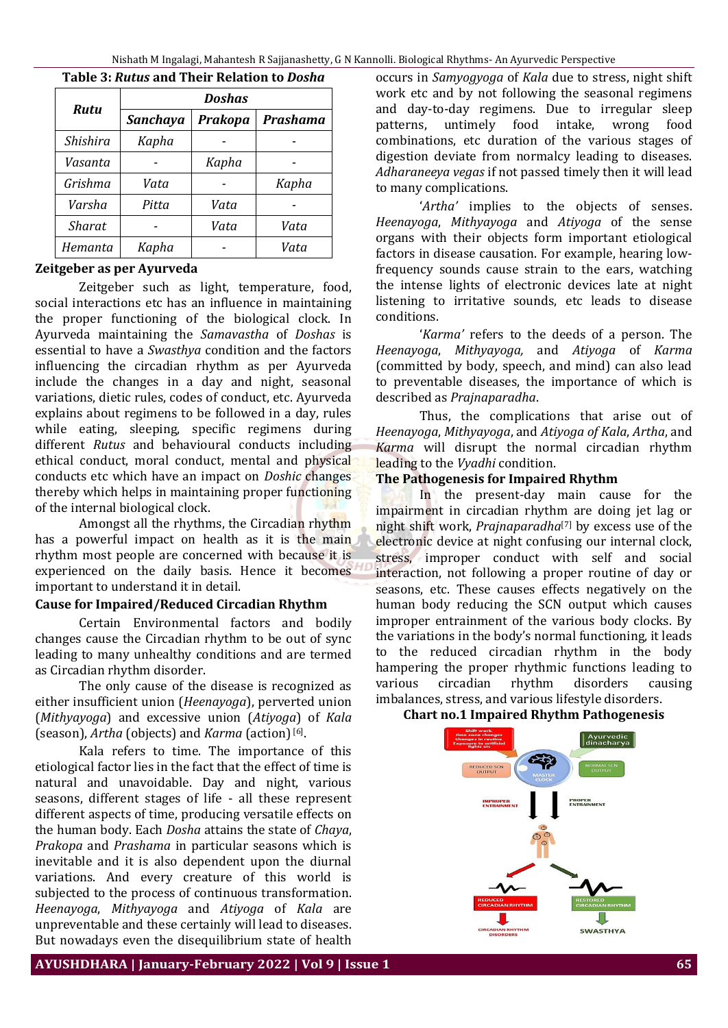| <b>Rutu</b> | <b>Doshas</b>   |                |                 |  |
|-------------|-----------------|----------------|-----------------|--|
|             | <b>Sanchaya</b> | <b>Prakopa</b> | <b>Prashama</b> |  |
| Shishira    | Kapha           |                |                 |  |
| Vasanta     |                 | Kapha          |                 |  |
| Grishma     | Vata            |                | Kapha           |  |
| Varsha      | Pitta           | Vata           |                 |  |
| Sharat      |                 | Vata           | Vata            |  |
| Hemanta     | Kapha           |                | Vata            |  |

### **Table 3:** *Rutus* **and Their Relation to** *Dosha*

### **Zeitgeber as per Ayurveda**

Zeitgeber such as light, temperature, food, social interactions etc has an influence in maintaining the proper functioning of the biological clock. In Ayurveda maintaining the *Samavastha* of *Doshas* is essential to have a *Swasthya* condition and the factors influencing the circadian rhythm as per Ayurveda include the changes in a day and night, seasonal variations, dietic rules, codes of conduct, etc. Ayurveda explains about regimens to be followed in a day, rules while eating, sleeping, specific regimens during different *Rutus* and behavioural conducts including ethical conduct, moral conduct, mental and physical conducts etc which have an impact on *Doshic* changes thereby which helps in maintaining proper functioning of the internal biological clock.

Amongst all the rhythms, the Circadian rhythm has a powerful impact on health as it is the main rhythm most people are concerned with because it is experienced on the daily basis. Hence it becomes important to understand it in detail.

#### **Cause for Impaired/Reduced Circadian Rhythm**

Certain Environmental factors and bodily changes cause the Circadian rhythm to be out of sync leading to many unhealthy conditions and are termed as Circadian rhythm disorder.

The only cause of the disease is recognized as either insufficient union (*Heenayoga*), perverted union (*Mithyayoga*) and excessive union (*Atiyoga*) of *Kala* (season), Artha (objects) and *Karma* (action)<sup>[6]</sup>.

Kala refers to time. The importance of this etiological factor lies in the fact that the effect of time is natural and unavoidable. Day and night, various seasons, different stages of life - all these represent different aspects of time, producing versatile effects on the human body. Each *Dosha* attains the state of *Chaya*, *Prakopa* and *Prashama* in particular seasons which is inevitable and it is also dependent upon the diurnal variations. And every creature of this world is subjected to the process of continuous transformation. *Heenayoga*, *Mithyayoga* and *Atiyoga* of *Kala* are unpreventable and these certainly will lead to diseases. But nowadays even the disequilibrium state of health

occurs in *Samyogyoga* of *Kala* due to stress, night shift work etc and by not following the seasonal regimens and day-to-day regimens. Due to irregular sleep patterns, untimely food intake, wrong food combinations, etc duration of the various stages of digestion deviate from normalcy leading to diseases. *Adharaneeya vegas* if not passed timely then it will lead to many complications.

'Artha' implies to the objects of senses. *Heenayoga*, *Mithyayoga* and *Atiyoga* of the sense organs with their objects form important etiological factors in disease causation. For example, hearing lowfrequency sounds cause strain to the ears, watching the intense lights of electronic devices late at night listening to irritative sounds, etc leads to disease conditions.

'*Karma'* refers to the deeds of a person. The *Heenayoga*, *Mithyayoga,* and *Atiyoga* of *Karma*  (committed by body, speech, and mind) can also lead to preventable diseases, the importance of which is described as *Prajnaparadha*.

Thus, the complications that arise out of *Heenayoga*, *Mithyayoga*, and *Atiyoga of Kala*, *Artha*, and *Karma* will disrupt the normal circadian rhythm leading to the *Vyadhi* condition.

# **The Pathogenesis for Impaired Rhythm**

In the present-day main cause for the impairment in circadian rhythm are doing jet lag or night shift work, *Prajnaparadha*[7] by excess use of the electronic device at night confusing our internal clock, stress, improper conduct with self and social interaction, not following a proper routine of day or seasons, etc. These causes effects negatively on the human body reducing the SCN output which causes improper entrainment of the various body clocks. By the variations in the body's normal functioning, it leads to the reduced circadian rhythm in the body hampering the proper rhythmic functions leading to various circadian rhythm disorders causing imbalances, stress, and various lifestyle disorders.

# **Chart no.1 Impaired Rhythm Pathogenesis**



**AYUSHDHARA | January-February 2022 | Vol 9 | Issue 1 65**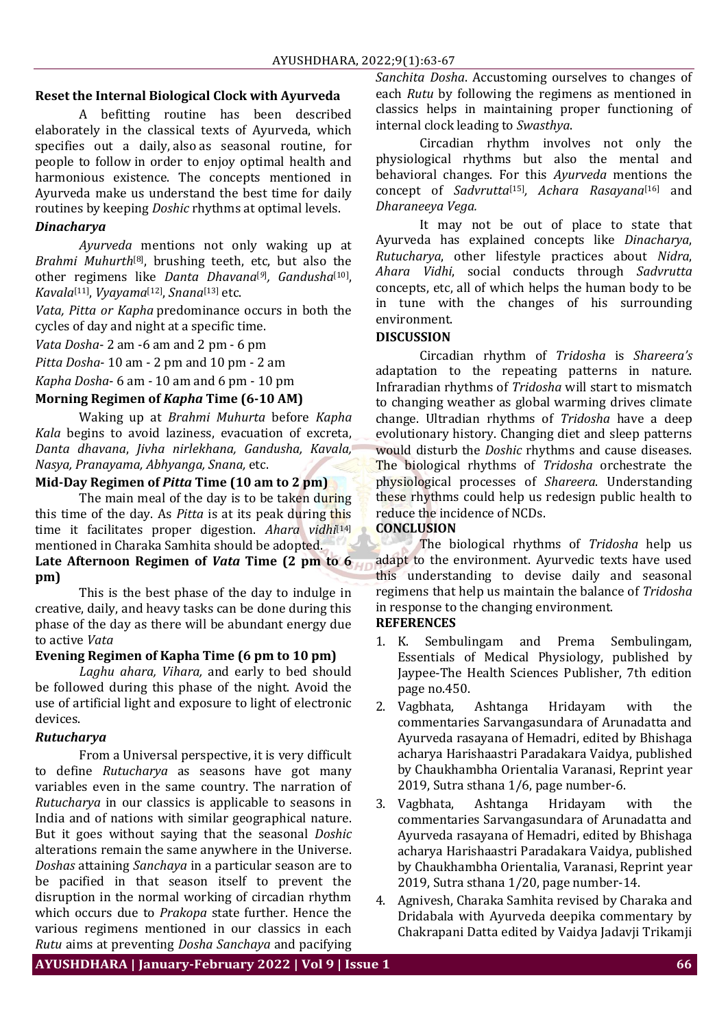# **Reset the Internal Biological Clock with Ayurveda**

A befitting routine has been described elaborately in the classical texts of Ayurveda, which specifies out a daily, also as seasonal routine, for people to follow in order to enjoy optimal health and harmonious existence. The concepts mentioned in Ayurveda make us understand the best time for daily routines by keeping *Doshic* rhythms at optimal levels.

# *Dinacharya*

*Ayurveda* mentions not only waking up at *Brahmi Muhurth*[8] , brushing teeth, etc, but also the other regimens like *Danta Dhavana*[*9*] *, Gandusha*[10] , *Kavala*[11] , *Vyayama*[12] , *Snana*[13] etc.

*Vata, Pitta or Kapha* predominance occurs in both the cycles of day and night at a specific time.

*Vata Dosha*- 2 am -6 am and 2 pm - 6 pm

*Pitta Dosha*- 10 am - 2 pm and 10 pm - 2 am

*Kapha Dosha*- 6 am - 10 am and 6 pm - 10 pm

# **Morning Regimen of** *Kapha* **Time (6-10 AM)**

Waking up at *Brahmi Muhurta* before *Kapha Kala* begins to avoid laziness, evacuation of excreta, *Danta dhavana*, *Jivha nirlekhana, Gandusha, Kavala, Nasya, Pranayama, Abhyanga, Snana,* etc.

# **Mid-Day Regimen of** *Pitta* **Time (10 am to 2 pm)**

The main meal of the day is to be taken during this time of the day. As *Pitta* is at its peak during this time it facilitates proper digestion. *Ahara vidhi*[14] mentioned in Charaka Samhita should be adopted. **Late Afternoon Regimen of** *Vata* **Time (2 pm to 6 pm)**

This is the best phase of the day to indulge in creative, daily, and heavy tasks can be done during this phase of the day as there will be abundant energy due to active *Vata*

### **Evening Regimen of Kapha Time (6 pm to 10 pm)**

*Laghu ahara, Vihara,* and early to bed should be followed during this phase of the night. Avoid the use of artificial light and exposure to light of electronic devices.

### *Rutucharya*

From a Universal perspective, it is very difficult to define *Rutucharya* as seasons have got many variables even in the same country. The narration of *Rutucharya* in our classics is applicable to seasons in India and of nations with similar geographical nature. But it goes without saying that the seasonal *Doshic* alterations remain the same anywhere in the Universe. *Doshas* attaining *Sanchaya* in a particular season are to be pacified in that season itself to prevent the disruption in the normal working of circadian rhythm which occurs due to *Prakopa* state further. Hence the various regimens mentioned in our classics in each *Rutu* aims at preventing *Dosha Sanchaya* and pacifying

*Sanchita Dosha*. Accustoming ourselves to changes of each *Rutu* by following the regimens as mentioned in classics helps in maintaining proper functioning of internal clock leading to *Swasthya*.

Circadian rhythm involves not only the physiological rhythms but also the mental and behavioral changes. For this *Ayurveda* mentions the concept of *Sadvrutta*[15] *, Achara Rasayana*[16] and *Dharaneeya Vega.*

It may not be out of place to state that Ayurveda has explained concepts like *Dinacharya*, *Rutucharya*, other lifestyle practices about *Nidra*, *Ahara Vidhi*, social conducts through *Sadvrutta*  concepts, etc, all of which helps the human body to be in tune with the changes of his surrounding environment.

### **DISCUSSION**

Circadian rhythm of *Tridosha* is *Shareera's* adaptation to the repeating patterns in nature. Infraradian rhythms of *Tridosha* will start to mismatch to changing weather as global warming drives climate change. Ultradian rhythms of *Tridosha* have a deep evolutionary history. Changing diet and sleep patterns would disturb the *Doshic* rhythms and cause diseases. The biological rhythms of *Tridosha* orchestrate the physiological processes of *Shareera*. Understanding these rhythms could help us redesign public health to reduce the incidence of NCDs.

# **CONCLUSION**

The biological rhythms of *Tridosha* help us adapt to the environment. Ayurvedic texts have used this understanding to devise daily and seasonal regimens that help us maintain the balance of *Tridosha* in response to the changing environment.

# **REFERENCES**

- 1. K. Sembulingam and Prema Sembulingam, Essentials of Medical Physiology, published by Jaypee-The Health Sciences Publisher, 7th edition page no.450.
- 2. Vagbhata, Ashtanga Hridayam with the commentaries Sarvangasundara of Arunadatta and Ayurveda rasayana of Hemadri, edited by Bhishaga acharya Harishaastri Paradakara Vaidya, published by Chaukhambha Orientalia Varanasi, Reprint year 2019, Sutra sthana 1/6, page number-6.
- 3. Vagbhata, Ashtanga Hridayam with the commentaries Sarvangasundara of Arunadatta and Ayurveda rasayana of Hemadri, edited by Bhishaga acharya Harishaastri Paradakara Vaidya, published by Chaukhambha Orientalia, Varanasi, Reprint year 2019, Sutra sthana 1/20, page number-14.
- 4. Agnivesh, Charaka Samhita revised by Charaka and Dridabala with Ayurveda deepika commentary by Chakrapani Datta edited by Vaidya Jadavji Trikamji

**AYUSHDHARA | January-February 2022 | Vol 9 | Issue 1 66**